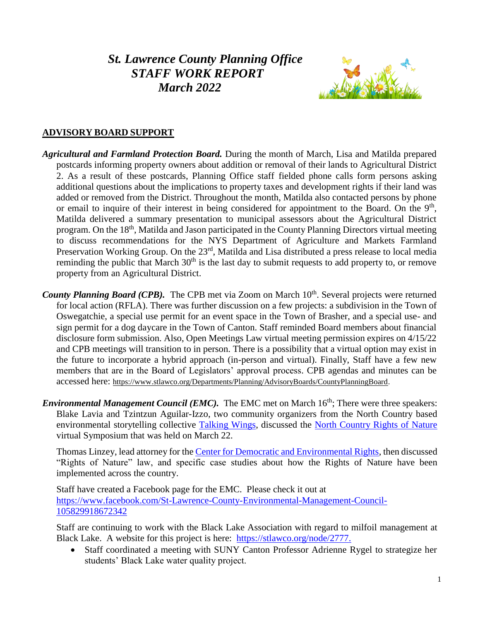# *St. Lawrence County Planning Office STAFF WORK REPORT March 2022*



## **ADVISORY BOARD SUPPORT**

- *Agricultural and Farmland Protection Board.* During the month of March, Lisa and Matilda prepared postcards informing property owners about addition or removal of their lands to Agricultural District 2. As a result of these postcards, Planning Office staff fielded phone calls form persons asking additional questions about the implications to property taxes and development rights if their land was added or removed from the District. Throughout the month, Matilda also contacted persons by phone or email to inquire of their interest in being considered for appointment to the Board. On the 9<sup>th</sup>, Matilda delivered a summary presentation to municipal assessors about the Agricultural District program. On the 18<sup>th</sup>, Matilda and Jason participated in the County Planning Directors virtual meeting to discuss recommendations for the NYS Department of Agriculture and Markets Farmland Preservation Working Group. On the 23<sup>rd</sup>, Matilda and Lisa distributed a press release to local media reminding the public that March 30<sup>th</sup> is the last day to submit requests to add property to, or remove property from an Agricultural District.
- County Planning Board (CPB). The CPB met via Zoom on March 10<sup>th</sup>. Several projects were returned for local action (RFLA). There was further discussion on a few projects: a subdivision in the Town of Oswegatchie, a special use permit for an event space in the Town of Brasher, and a special use- and sign permit for a dog daycare in the Town of Canton. Staff reminded Board members about financial disclosure form submission. Also, Open Meetings Law virtual meeting permission expires on 4/15/22 and CPB meetings will transition to in person. There is a possibility that a virtual option may exist in the future to incorporate a hybrid approach (in-person and virtual). Finally, Staff have a few new members that are in the Board of Legislators' approval process. CPB agendas and minutes can be accessed here: [https://www.stlawco.org/Departments/Planning/AdvisoryBoards/CountyPlanningBoard.](https://www.stlawco.org/Departments/Planning/AdvisoryBoards/CountyPlanningBoard)
- *Environmental Management Council (EMC)*. The EMC met on March 16<sup>th</sup>; There were three speakers: Blake Lavia and Tzintzun Aguilar-Izzo, two community organizers from the North Country based environmental storytelling collective [Talking Wings,](https://talking-wings.com/) discussed the [North Country Rights of Nature](https://nocoenvironment.org/rights-of-nature) virtual Symposium that was held on March 22.

Thomas Linzey, lead attorney for the [Center for Democratic and Environmental Rights,](https://www.centerforenvironmentalrights.org/) then discussed "Rights of Nature" law, and specific case studies about how the Rights of Nature have been implemented across the country.

Staff have created a Facebook page for the EMC. Please check it out at [https://www.facebook.com/St-Lawrence-County-Environmental-Management-Council-](https://www.facebook.com/St-Lawrence-County-Environmental-Management-Council-105829918672342)[105829918672342](https://www.facebook.com/St-Lawrence-County-Environmental-Management-Council-105829918672342)

Staff are continuing to work with the Black Lake Association with regard to milfoil management at Black Lake. A website for this project is here: [https://stlawco.org/node/2777.](https://stlawco.org/node/2777)

• Staff coordinated a meeting with SUNY Canton Professor Adrienne Rygel to strategize her students' Black Lake water quality project.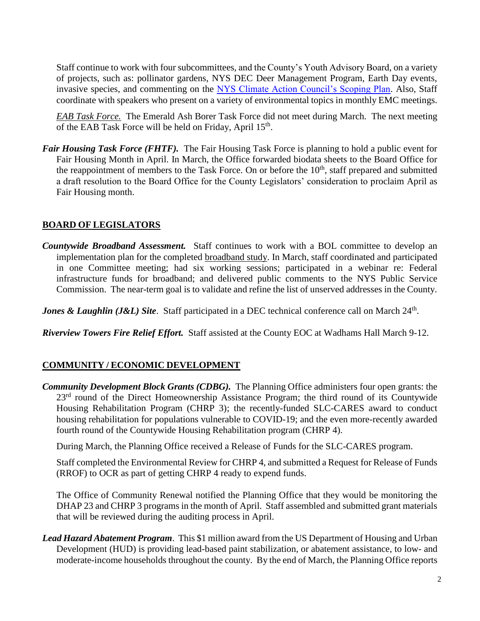Staff continue to work with four subcommittees, and the County's Youth Advisory Board, on a variety of projects, such as: pollinator gardens, NYS DEC Deer Management Program, Earth Day events, invasive species, and commenting on the [NYS Climate Action Council's Scoping Plan.](https://climate.ny.gov/Our-Climate-Act/Draft-Scoping-Plan) Also, Staff coordinate with speakers who present on a variety of environmental topics in monthly EMC meetings.

*EAB Task Force.* The Emerald Ash Borer Task Force did not meet during March. The next meeting of the EAB Task Force will be held on Friday, April  $15<sup>th</sup>$ .

*Fair Housing Task Force (FHTF).* The Fair Housing Task Force is planning to hold a public event for Fair Housing Month in April. In March, the Office forwarded biodata sheets to the Board Office for the reappointment of members to the Task Force. On or before the 10<sup>th</sup>, staff prepared and submitted a draft resolution to the Board Office for the County Legislators' consideration to proclaim April as Fair Housing month.

#### **BOARD OF LEGISLATORS**

*Countywide Broadband Assessment.* Staff continues to work with a BOL committee to develop an implementation plan for the completed [broadband study.](https://stlawco.org/Broadband-Study) In March, staff coordinated and participated in one Committee meeting; had six working sessions; participated in a webinar re: Federal infrastructure funds for broadband; and delivered public comments to the NYS Public Service Commission. The near-term goal is to validate and refine the list of unserved addresses in the County.

**Jones & Laughlin (J&L) Site.** Staff participated in a DEC technical conference call on March 24<sup>th</sup>.

*Riverview Towers Fire Relief Effort.* Staff assisted at the County EOC at Wadhams Hall March 9-12.

#### **COMMUNITY / ECONOMIC DEVELOPMENT**

*Community Development Block Grants (CDBG).* The Planning Office administers four open grants: the 23<sup>rd</sup> round of the Direct Homeownership Assistance Program; the third round of its Countywide Housing Rehabilitation Program (CHRP 3); the recently-funded SLC-CARES award to conduct housing rehabilitation for populations vulnerable to COVID-19; and the even more-recently awarded fourth round of the Countywide Housing Rehabilitation program (CHRP 4).

During March, the Planning Office received a Release of Funds for the SLC-CARES program.

Staff completed the Environmental Review for CHRP 4, and submitted a Request for Release of Funds (RROF) to OCR as part of getting CHRP 4 ready to expend funds.

The Office of Community Renewal notified the Planning Office that they would be monitoring the DHAP 23 and CHRP 3 programs in the month of April. Staff assembled and submitted grant materials that will be reviewed during the auditing process in April.

*Lead Hazard Abatement Program*. This \$1 million award from the US Department of Housing and Urban Development (HUD) is providing lead-based paint stabilization, or abatement assistance, to low- and moderate-income households throughout the county. By the end of March, the Planning Office reports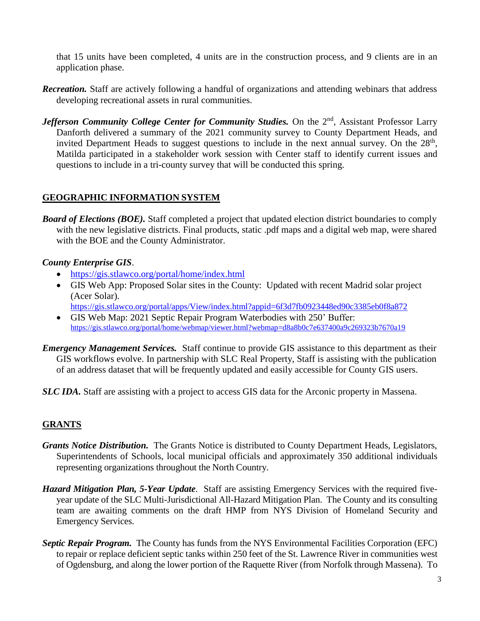that 15 units have been completed, 4 units are in the construction process, and 9 clients are in an application phase.

- *Recreation.* Staff are actively following a handful of organizations and attending webinars that address developing recreational assets in rural communities.
- *Jefferson Community College Center for Community Studies.* On the 2<sup>nd</sup>, Assistant Professor Larry Danforth delivered a summary of the 2021 community survey to County Department Heads, and invited Department Heads to suggest questions to include in the next annual survey. On the  $28<sup>th</sup>$ , Matilda participated in a stakeholder work session with Center staff to identify current issues and questions to include in a tri-county survey that will be conducted this spring.

#### **GEOGRAPHIC INFORMATION SYSTEM**

*Board of Elections (BOE).* Staff completed a project that updated election district boundaries to comply with the new legislative districts. Final products, static .pdf maps and a digital web map, were shared with the BOE and the County Administrator.

#### *County Enterprise GIS*.

- <https://gis.stlawco.org/portal/home/index.html>
- GIS Web App: Proposed Solar sites in the County: Updated with recent Madrid solar project (Acer Solar). <https://gis.stlawco.org/portal/apps/View/index.html?appid=6f3d7fb0923448ed90c3385eb0f8a872>
- GIS Web Map: 2021 Septic Repair Program Waterbodies with 250' Buffer: <https://gis.stlawco.org/portal/home/webmap/viewer.html?webmap=d8a8b0c7e637400a9c269323b7670a19>
- *Emergency Management Services.* Staff continue to provide GIS assistance to this department as their GIS workflows evolve. In partnership with SLC Real Property, Staff is assisting with the publication of an address dataset that will be frequently updated and easily accessible for County GIS users.
- *SLC IDA.* Staff are assisting with a project to access GIS data for the Arconic property in Massena.

#### **GRANTS**

- *Grants Notice Distribution.* The Grants Notice is distributed to County Department Heads, Legislators, Superintendents of Schools, local municipal officials and approximately 350 additional individuals representing organizations throughout the North Country.
- *Hazard Mitigation Plan, 5-Year Update*. Staff are assisting Emergency Services with the required fiveyear update of the SLC Multi-Jurisdictional All-Hazard Mitigation Plan. The County and its consulting team are awaiting comments on the draft HMP from NYS Division of Homeland Security and Emergency Services.
- *Septic Repair Program.* The County has funds from the NYS Environmental Facilities Corporation (EFC) to repair or replace deficient septic tanks within 250 feet of the St. Lawrence River in communities west of Ogdensburg, and along the lower portion of the Raquette River (from Norfolk through Massena). To